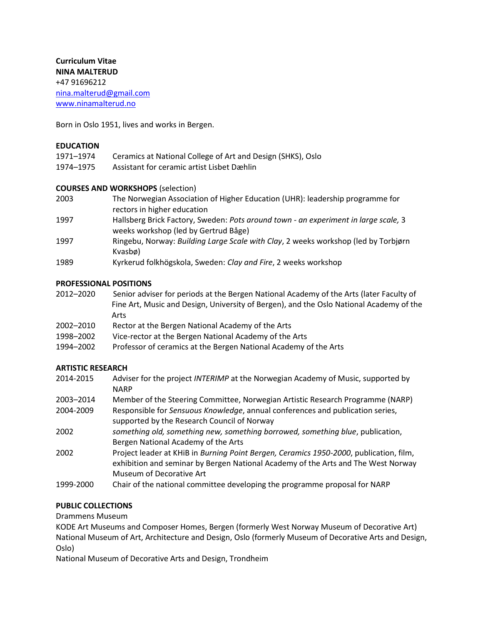**Curriculum Vitae NINA MALTERUD** +47 91696212 [nina.malterud@gmail.com](mailto:nina.malterud@gmail.com) [www.ninamalterud.no](http://www.ninamalterud.no/)

Born in Oslo 1951, lives and works in Bergen.

#### **EDUCATION**

| 1971–1974 | Ceramics at National College of Art and Design (SHKS), Oslo |
|-----------|-------------------------------------------------------------|
| 1974–1975 | Assistant for ceramic artist Lisbet Dæhlin                  |

#### **COURSES AND WORKSHOPS** (selection)

| 2003 | The Norwegian Association of Higher Education (UHR): leadership programme for |
|------|-------------------------------------------------------------------------------|
|      | rectors in higher education                                                   |

- 1997 Hallsberg Brick Factory, Sweden: *Pots around town - an experiment in large scale,* 3 weeks workshop (led by Gertrud Båge)
- 1997 Ringebu, Norway: *Building Large Scale with Clay*, 2 weeks workshop (led by Torbjørn Kvasbø)
- 1989 Kyrkerud folkhögskola, Sweden: *Clay and Fire*, 2 weeks workshop

#### **PROFESSIONAL POSITIONS**

- 2012–2020 Senior adviser for periods at the Bergen National Academy of the Arts (later Faculty of Fine Art, Music and Design, University of Bergen), and the Oslo National Academy of the Arts
- 2002–2010 Rector at the Bergen National Academy of the Arts
- 1998–2002 Vice-rector at the Bergen National Academy of the Arts
- 1994–2002 Professor of ceramics at the Bergen National Academy of the Arts

#### **ARTISTIC RESEARCH**

- 2014-2015 Adviser for the project *INTERIMP* at the Norwegian Academy of Music, supported by NARP
- 2003–2014 Member of the Steering Committee, Norwegian Artistic Research Programme (NARP)
- 2004-2009 Responsible for *Sensuous Knowledge*, annual conferences and publication series, supported by the Research Council of Norway
- 2002 *something old, something new, something borrowed, something blue*, publication, Bergen National Academy of the Arts
- 2002 Project leader at KHiB in *Burning Point Bergen, Ceramics 1950-2000*, publication, film, exhibition and seminar by Bergen National Academy of the Arts and The West Norway Museum of Decorative Art
- 1999-2000 Chair of the national committee developing the programme proposal for NARP

#### **PUBLIC COLLECTIONS**

Drammens Museum

KODE Art Museums and Composer Homes, Bergen (formerly West Norway Museum of Decorative Art) National Museum of Art, Architecture and Design, Oslo (formerly Museum of Decorative Arts and Design, Oslo)

National Museum of Decorative Arts and Design, Trondheim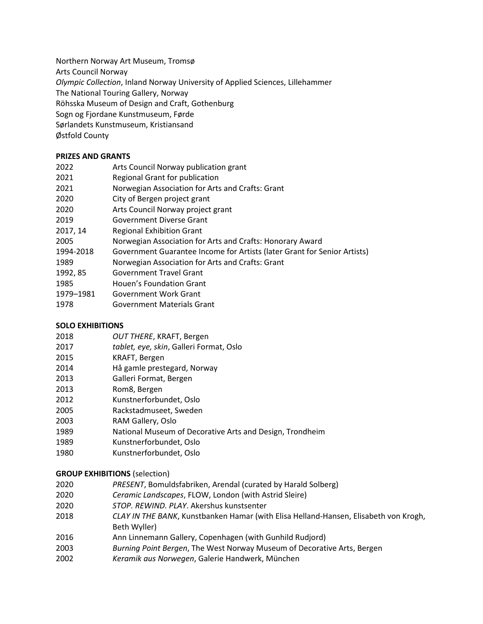Northern Norway Art Museum, Tromsø

Arts Council Norway

*Olympic Collection*, Inland Norway University of Applied Sciences, Lillehammer

The National Touring Gallery, Norway

Röhsska Museum of Design and Craft, Gothenburg

Sogn og Fjordane Kunstmuseum, Førde

Sørlandets Kunstmuseum, Kristiansand

Østfold County

## **PRIZES AND GRANTS**

| 2022      | Arts Council Norway publication grant                                    |
|-----------|--------------------------------------------------------------------------|
| 2021      | Regional Grant for publication                                           |
| 2021      | Norwegian Association for Arts and Crafts: Grant                         |
| 2020      | City of Bergen project grant                                             |
| 2020      | Arts Council Norway project grant                                        |
| 2019      | Government Diverse Grant                                                 |
| 2017, 14  | <b>Regional Exhibition Grant</b>                                         |
| 2005      | Norwegian Association for Arts and Crafts: Honorary Award                |
| 1994-2018 | Government Guarantee Income for Artists (later Grant for Senior Artists) |
| 1989      | Norwegian Association for Arts and Crafts: Grant                         |
| 1992, 85  | <b>Government Travel Grant</b>                                           |
| 1985      | Houen's Foundation Grant                                                 |
| 1979-1981 | Government Work Grant                                                    |
| 1978      | <b>Government Materials Grant</b>                                        |

# **SOLO EXHIBITIONS**

| OUT THERE, KRAFT, Bergen |
|--------------------------|

- *tablet, eye, skin*, Galleri Format, Oslo
- KRAFT, Bergen
- Hå gamle prestegard, Norway
- Galleri Format, Bergen
- Rom8, Bergen
- Kunstnerforbundet, Oslo
- Rackstadmuseet, Sweden
- RAM Gallery, Oslo
- National Museum of Decorative Arts and Design, Trondheim
- Kunstnerforbundet, Oslo
- Kunstnerforbundet, Oslo

# **GROUP EXHIBITIONS** (selection)

- *PRESENT*, Bomuldsfabriken, Arendal (curated by Harald Solberg)
- *Ceramic Landscapes*, FLOW, London (with Astrid Sleire)
- *STOP. REWIND. PLAY*. Akershus kunstsenter
- *CLAY IN THE BANK*, Kunstbanken Hamar (with Elisa Helland-Hansen, Elisabeth von Krogh, Beth Wyller)
- Ann Linnemann Gallery, Copenhagen (with Gunhild Rudjord)
- *Burning Point Bergen*, The West Norway Museum of Decorative Arts, Bergen
- *Keramik aus Norwegen*, Galerie Handwerk, München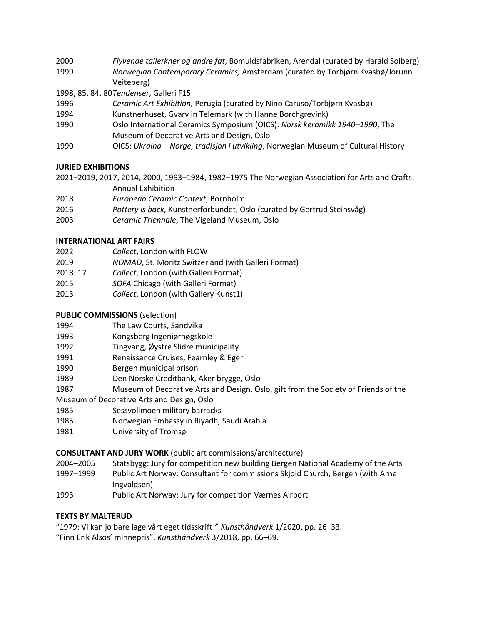- 2000 *Flyvende tallerkner og andre fat*, Bomuldsfabriken, Arendal (curated by Harald Solberg) 1999 *Norwegian Contemporary Ceramics,* Amsterdam (curated by Torbjørn Kvasbø/Jorunn Veiteberg)
- 1998, 85, 84, 80*Tendenser*, Galleri F15
- 1996 *Ceramic Art Exhibition,* Perugia (curated by Nino Caruso/Torbjørn Kvasbø)
- 1994 Kunstnerhuset, Gvarv in Telemark (with Hanne Borchgrevink)
- 1990 Oslo International Ceramics Symposium (OICS): *Norsk keramikk 1940–1990*, The Museum of Decorative Arts and Design, Oslo
- 1990 OICS: *Ukraina – Norge, tradisjon i utvikling*, Norwegian Museum of Cultural History

#### **JURIED EXHIBITIONS**

2021–2019, 2017, 2014, 2000, 1993–1984, 1982–1975 The Norwegian Association for Arts and Crafts, Annual Exhibition

- 2018 *European Ceramic Context*, Bornholm
- 2016 *Pottery is back,* Kunstnerforbundet, Oslo (curated by Gertrud Steinsvåg)
- 2003 *Ceramic Triennale*, The Vigeland Museum, Oslo

#### **INTERNATIONAL ART FAIRS**

- 2022 *Collect*, London with FLOW
- 2019 *NOMAD*, St. Moritz Switzerland (with Galleri Format)
- 2018. 17 *Collect*, London (with Galleri Format)
- 2015 *SOFA* Chicago (with Galleri Format)
- 2013 *Collect*, London (with Gallery Kunst1)

## **PUBLIC COMMISSIONS** (selection)

| 1994 | The Law Courts, Sandvika |
|------|--------------------------|
|------|--------------------------|

- 1993 Kongsberg Ingeniørhøgskole
- 1992 Tingvang, Øystre Slidre municipality
- 1991 Renaissance Cruises, Fearnley & Eger
- 1990 Bergen municipal prison
- 1989 Den Norske Creditbank, Aker brygge, Oslo
- 1987 Museum of Decorative Arts and Design, Oslo, gift from the Society of Friends of the
- Museum of Decorative Arts and Design, Oslo
- 1985 Sessvollmoen military barracks
- 1985 Norwegian Embassy in Riyadh, Saudi Arabia
- 1981 University of Tromsø

## **CONSULTANT AND JURY WORK** (public art commissions/architecture)

- 2004–2005 Statsbygg: Jury for competition new building Bergen National Academy of the Arts
- 1997–1999 Public Art Norway: Consultant for commissions Skjold Church, Bergen (with Arne Ingvaldsen)
- 1993 Public Art Norway: Jury for competition Værnes Airport

## **TEXTS BY MALTERUD**

"1979: Vi kan jo bare lage vårt eget tidsskrift!" *Kunsthåndverk* 1/2020, pp. 26–33.

"Finn Erik Alsos' minnepris". *Kunsthåndverk* 3/2018, pp. 66–69.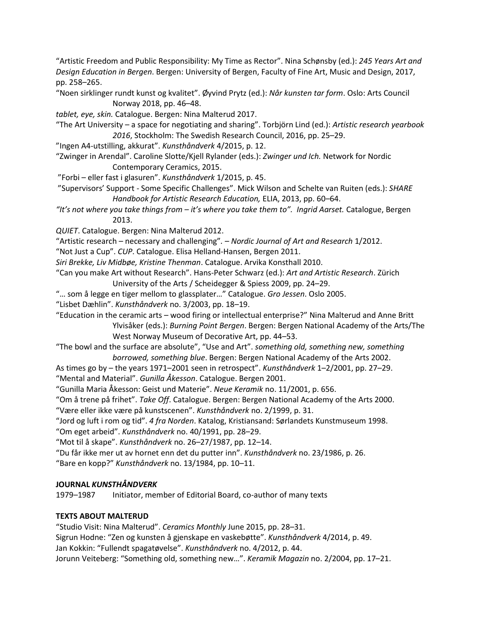"Artistic Freedom and Public Responsibility: My Time as Rector". Nina Schønsby (ed.): *245 Years Art and Design Education in Bergen*. Bergen: University of Bergen, Faculty of Fine Art, Music and Design, 2017, pp. 258–265.

"Noen sirklinger rundt kunst og kvalitet". Øyvind Prytz (ed.): *Når kunsten tar form*. Oslo: Arts Council Norway 2018, pp. 46–48.

*tablet, eye, skin.* Catalogue. Bergen: Nina Malterud 2017.

"The Art University – a space for negotiating and sharing". Torbjörn Lind (ed.): *Artistic research yearbook 2016*, Stockholm: The Swedish Research Council, 2016, pp. 25–29.

"Ingen A4-utstilling, akkurat". *Kunsthåndverk* 4/2015, p. 12.

"Zwinger in Arendal". Caroline Slotte/Kjell Rylander (eds.): *Zwinger und Ich.* Network for Nordic Contemporary Ceramics, 2015.

"Forbi – eller fast i glasuren". *Kunsthåndverk* 1/2015, p. 45.

"Supervisors' Support - Some Specific Challenges". Mick Wilson and Schelte van Ruiten (eds.): *SHARE Handbook for Artistic Research Education,* ELIA, 2013, pp. 60–64.

*"It's not where you take things from – it's where you take them to". Ingrid Aarset.* Catalogue, Bergen 2013.

*QUIET*. Catalogue. Bergen: Nina Malterud 2012.

"Artistic research – necessary and challenging"*. – Nordic Journal of Art and Research* 1/2012.

"Not Just a Cup". *CUP*. Catalogue. Elisa Helland-Hansen, Bergen 2011.

*Siri Brekke, Liv Midbøe, Kristine Thenman*. Catalogue. Arvika Konsthall 2010.

"Can you make Art without Research". Hans-Peter Schwarz (ed.): *Art and Artistic Research*. Zürich University of the Arts / Scheidegger & Spiess 2009, pp. 24–29.

"… som å legge en tiger mellom to glassplater…" Catalogue. *Gro Jessen*. Oslo 2005.

"Lisbet Dæhlin". *Kunsthåndverk* no. 3/2003, pp. 18–19.

"Education in the ceramic arts – wood firing or intellectual enterprise?" Nina Malterud and Anne Britt Ylvisåker (eds.): *Burning Point Bergen*. Bergen: Bergen National Academy of the Arts/The

West Norway Museum of Decorative Art, pp. 44–53.

"The bowl and the surface are absolute", "Use and Art". *something old, something new, something borrowed, something blue*. Bergen: Bergen National Academy of the Arts 2002.

As times go by – the years 1971–2001 seen in retrospect". *Kunsthåndverk* 1–2/2001, pp. 27–29. "Mental and Material". *Gunilla Åkesson*. Catalogue. Bergen 2001.

"Gunilla Maria Åkesson: Geist und Materie". *Neue Keramik* no. 11/2001, p. 656.

"Om å trene på frihet". *Take Off*. Catalogue. Bergen: Bergen National Academy of the Arts 2000.

"Være eller ikke være på kunstscenen". *Kunsthåndverk* no. 2/1999, p. 31.

"Jord og luft i rom og tid". *4 fra Norden*. Katalog, Kristiansand: Sørlandets Kunstmuseum 1998.

"Om eget arbeid". *Kunsthåndverk* no. 40/1991, pp. 28–29.

"Mot til å skape". *Kunsthåndverk* no. 26–27/1987, pp. 12–14.

"Du får ikke mer ut av hornet enn det du putter inn". *Kunsthåndverk* no. 23/1986, p. 26.

"Bare en kopp?" *Kunsthåndverk* no. 13/1984, pp. 10–11.

## **JOURNAL** *KUNSTHÅNDVERK*

1979–1987 Initiator, member of Editorial Board, co-author of many texts

## **TEXTS ABOUT MALTERUD**

"Studio Visit: Nina Malterud". *Ceramics Monthly* June 2015, pp. 28–31. Sigrun Hodne: "Zen og kunsten å gjenskape en vaskebøtte". *Kunsthåndverk* 4/2014, p. 49. Jan Kokkin: "Fullendt spagatøvelse". *Kunsthåndverk* no. 4/2012, p. 44. Jorunn Veiteberg: "Something old, something new…". *Keramik Magazin* no. 2/2004, pp. 17–21.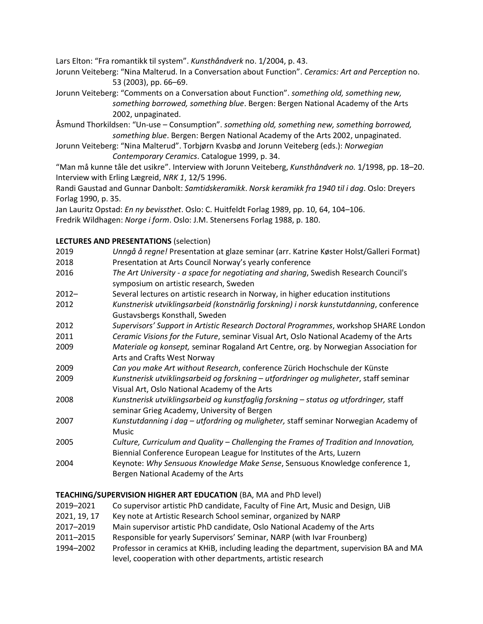Lars Elton: "Fra romantikk til system". *Kunsthåndverk* no. 1/2004, p. 43.

Jorunn Veiteberg: "Nina Malterud. In a Conversation about Function". *Ceramics: Art and Perception* no. 53 (2003), pp. 66–69.

- Jorunn Veiteberg: "Comments on a Conversation about Function". *something old, something new, something borrowed, something blue*. Bergen: Bergen National Academy of the Arts 2002, unpaginated.
- Åsmund Thorkildsen: "Un-use Consumption". *something old, something new, something borrowed, something blue*. Bergen: Bergen National Academy of the Arts 2002, unpaginated.
- Jorunn Veiteberg: "Nina Malterud". Torbjørn Kvasbø and Jorunn Veiteberg (eds.): *Norwegian Contemporary Ceramics*. Catalogue 1999, p. 34.

"Man må kunne tåle det usikre". Interview with Jorunn Veiteberg, *Kunsthåndverk no.* 1/1998, pp. 18–20. Interview with Erling Lægreid, *NRK 1*, 12/5 1996.

Randi Gaustad and Gunnar Danbolt: *Samtidskeramikk*. *Norsk keramikk fra 1940 til i dag*. Oslo: Dreyers Forlag 1990, p. 35.

Jan Lauritz Opstad: *En ny bevissthet*. Oslo: C. Huitfeldt Forlag 1989, pp. 10, 64, 104–106. Fredrik Wildhagen: *Norge i form*. Oslo: J.M. Stenersens Forlag 1988, p. 180.

## **LECTURES AND PRESENTATIONS** (selection)

| 2019     | Unngå å regne! Presentation at glaze seminar (arr. Katrine Køster Holst/Galleri Format)                                                                         |
|----------|-----------------------------------------------------------------------------------------------------------------------------------------------------------------|
| 2018     | Presentation at Arts Council Norway's yearly conference                                                                                                         |
| 2016     | The Art University - a space for negotiating and sharing, Swedish Research Council's<br>symposium on artistic research, Sweden                                  |
| $2012 -$ | Several lectures on artistic research in Norway, in higher education institutions                                                                               |
| 2012     | Kunstnerisk utviklingsarbeid (konstnärlig forskning) i norsk kunstutdanning, conference<br>Gustavsbergs Konsthall, Sweden                                       |
| 2012     | Supervisors' Support in Artistic Research Doctoral Programmes, workshop SHARE London                                                                            |
| 2011     | Ceramic Visions for the Future, seminar Visual Art, Oslo National Academy of the Arts                                                                           |
| 2009     | Materiale og konsept, seminar Rogaland Art Centre, org. by Norwegian Association for<br>Arts and Crafts West Norway                                             |
| 2009     | Can you make Art without Research, conference Zürich Hochschule der Künste                                                                                      |
| 2009     | Kunstnerisk utviklingsarbeid og forskning – utfordringer og muligheter, staff seminar<br>Visual Art, Oslo National Academy of the Arts                          |
| 2008     | Kunstnerisk utviklingsarbeid og kunstfaglig forskning - status og utfordringer, staff<br>seminar Grieg Academy, University of Bergen                            |
| 2007     | Kunstutdanning i dag - utfordring og muligheter, staff seminar Norwegian Academy of<br>Music                                                                    |
| 2005     | Culture, Curriculum and Quality – Challenging the Frames of Tradition and Innovation,<br>Biennial Conference European League for Institutes of the Arts, Luzern |
| 2004     | Keynote: Why Sensuous Knowledge Make Sense, Sensuous Knowledge conference 1,<br>Bergen National Academy of the Arts                                             |

## **TEACHING/SUPERVISION HIGHER ART EDUCATION** (BA, MA and PhD level)

- 2019–2021 Co supervisor artistic PhD candidate, Faculty of Fine Art, Music and Design, UiB
- 2021, 19, 17 Key note at Artistic Research School seminar, organized by NARP
- 2017–2019 Main supervisor artistic PhD candidate, Oslo National Academy of the Arts
- 2011–2015 Responsible for yearly Supervisors' Seminar, NARP (with Ivar Frounberg)
- 1994–2002 Professor in ceramics at KHiB, including leading the department, supervision BA and MA level, cooperation with other departments, artistic research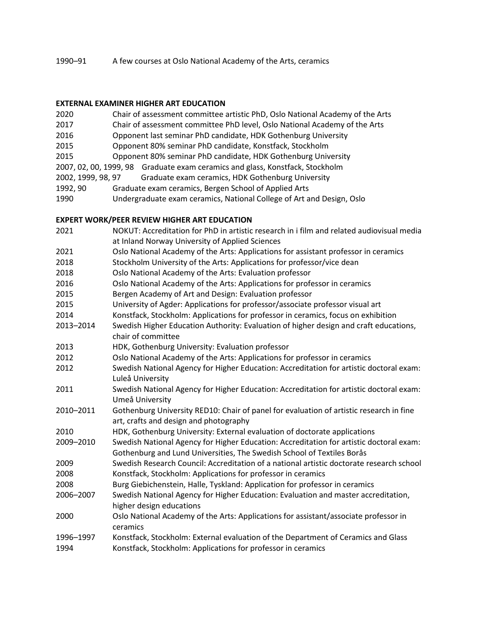#### 1990–91 A few courses at Oslo National Academy of the Arts, ceramics

#### **EXTERNAL EXAMINER HIGHER ART EDUCATION**

| 2020               | Chair of assessment committee artistic PhD, Oslo National Academy of the Arts |
|--------------------|-------------------------------------------------------------------------------|
| 2017               | Chair of assessment committee PhD level, Oslo National Academy of the Arts    |
| 2016               | Opponent last seminar PhD candidate, HDK Gothenburg University                |
| 2015               | Opponent 80% seminar PhD candidate, Konstfack, Stockholm                      |
| 2015               | Opponent 80% seminar PhD candidate, HDK Gothenburg University                 |
|                    | 2007, 02, 00, 1999, 98 Graduate exam ceramics and glass, Konstfack, Stockholm |
| 2002, 1999, 98, 97 | Graduate exam ceramics, HDK Gothenburg University                             |
| 1992, 90           | Graduate exam ceramics, Bergen School of Applied Arts                         |

1990 Undergraduate exam ceramics, National College of Art and Design, Oslo

## **EXPERT WORK/PEER REVIEW HIGHER ART EDUCATION**

| 2021      | NOKUT: Accreditation for PhD in artistic research in i film and related audiovisual media |
|-----------|-------------------------------------------------------------------------------------------|
|           | at Inland Norway University of Applied Sciences                                           |
| 2021      | Oslo National Academy of the Arts: Applications for assistant professor in ceramics       |
| 2018      | Stockholm University of the Arts: Applications for professor/vice dean                    |
| 2018      | Oslo National Academy of the Arts: Evaluation professor                                   |
| 2016      | Oslo National Academy of the Arts: Applications for professor in ceramics                 |
| 2015      | Bergen Academy of Art and Design: Evaluation professor                                    |
| 2015      | University of Agder: Applications for professor/associate professor visual art            |
| 2014      | Konstfack, Stockholm: Applications for professor in ceramics, focus on exhibition         |
| 2013-2014 | Swedish Higher Education Authority: Evaluation of higher design and craft educations,     |
|           | chair of committee                                                                        |
| 2013      | HDK, Gothenburg University: Evaluation professor                                          |
| 2012      | Oslo National Academy of the Arts: Applications for professor in ceramics                 |
| 2012      | Swedish National Agency for Higher Education: Accreditation for artistic doctoral exam:   |
|           | Luleå University                                                                          |
| 2011      | Swedish National Agency for Higher Education: Accreditation for artistic doctoral exam:   |
|           | Umeå University                                                                           |
| 2010-2011 | Gothenburg University RED10: Chair of panel for evaluation of artistic research in fine   |
|           | art, crafts and design and photography                                                    |
| 2010      | HDK, Gothenburg University: External evaluation of doctorate applications                 |
| 2009-2010 | Swedish National Agency for Higher Education: Accreditation for artistic doctoral exam:   |
|           | Gothenburg and Lund Universities, The Swedish School of Textiles Borås                    |
| 2009      | Swedish Research Council: Accreditation of a national artistic doctorate research school  |
| 2008      | Konstfack, Stockholm: Applications for professor in ceramics                              |
| 2008      | Burg Giebichenstein, Halle, Tyskland: Application for professor in ceramics               |
| 2006-2007 | Swedish National Agency for Higher Education: Evaluation and master accreditation,        |
|           | higher design educations                                                                  |
| 2000      | Oslo National Academy of the Arts: Applications for assistant/associate professor in      |
|           | ceramics                                                                                  |
| 1996-1997 | Konstfack, Stockholm: External evaluation of the Department of Ceramics and Glass         |
| 1994      | Konstfack, Stockholm: Applications for professor in ceramics                              |
|           |                                                                                           |